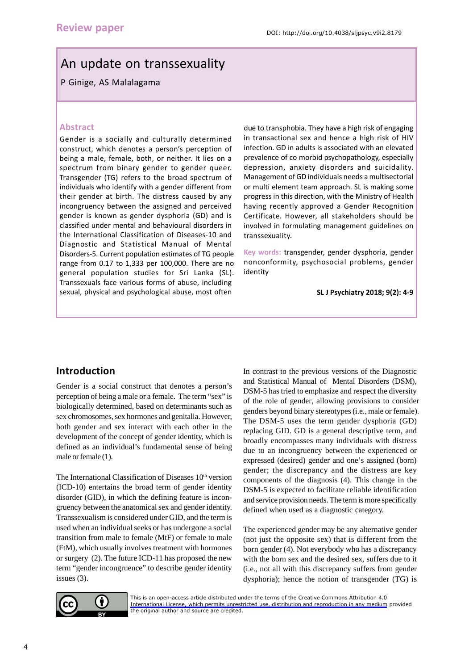# An update on transsexuality

#### P Ginige, AS Malalagama

#### **Abstract**

Gender is a socially and culturally determined construct, which denotes a person's perception of being a male, female, both, or neither. It lies on a spectrum from binary gender to gender queer. Transgender (TG) refers to the broad spectrum of individuals who identify with a gender different from their gender at birth. The distress caused by any incongruency between the assigned and perceived gender is known as gender dysphoria (GD) and is classified under mental and behavioural disorders in the International Classification of Diseases-10 and Diagnostic and Statistical Manual of Mental Disorders-5. Current population estimates of TG people range from 0.17 to 1,333 per 100,000. There are no general population studies for Sri Lanka (SL). Transsexuals face various forms of abuse, including sexual, physical and psychological abuse, most often

due to transphobia. They have a high risk of engaging in transactional sex and hence a high risk of HIV infection. GD in adults is associated with an elevated prevalence of co morbid psychopathology, especially depression, anxiety disorders and suicidality. Management of GD individuals needs a multisectorial or multi element team approach. SL is making some progress in this direction, with the Ministry of Health having recently approved a Gender Recognition Certificate. However, all stakeholders should be involved in formulating management guidelines on transsexuality.

**Key words:** transgender, gender dysphoria, gender nonconformity, psychosocial problems, gender identity

**SL J Psychiatry 2018; 9(2): 4-9**

## **Introduction**

Gender is a social construct that denotes a person's perception of being a male or a female. The term "sex" is biologically determined, based on determinants such as sex chromosomes, sex hormones and genitalia. However, both gender and sex interact with each other in the development of the concept of gender identity, which is defined as an individual's fundamental sense of being male or female (1).

The International Classification of Diseases 10<sup>th</sup> version (ICD-10) entertains the broad term of gender identity disorder (GID), in which the defining feature is incongruency between the anatomical sex and gender identity. Transsexualism is considered under GID, and the term is used when an individual seeks or has undergone a social transition from male to female (MtF) or female to male (FtM), which usually involves treatment with hormones or surgery (2). The future ICD-11 has proposed the new term "gender incongruence" to describe gender identity issues (3).

In contrast to the previous versions of the Diagnostic and Statistical Manual of Mental Disorders (DSM), DSM-5 has tried to emphasize and respect the diversity of the role of gender, allowing provisions to consider genders beyond binary stereotypes (i.e., male or female). The DSM-5 uses the term gender dysphoria (GD) replacing GID. GD is a general descriptive term, and broadly encompasses many individuals with distress due to an incongruency between the experienced or expressed (desired) gender and one's assigned (born) gender; the discrepancy and the distress are key components of the diagnosis (4). This change in the DSM-5 is expected to facilitate reliable identification and service provision needs. The term is more specifically defined when used as a diagnostic category.

The experienced gender may be any alternative gender (not just the opposite sex) that is different from the born gender (4). Not everybody who has a discrepancy with the born sex and the desired sex, suffers due to it (i.e., not all with this discrepancy suffers from gender dysphoria); hence the notion of transgender (TG) is



[This is an open-access article distributed under the terms of the Creative Commons Attribution 4.0](https://creativecommons.org/licenses/by/4.0/legalcode)  International License, which permits unrestricted use, distribution and reproduction in any medium provided the original author and source are credited.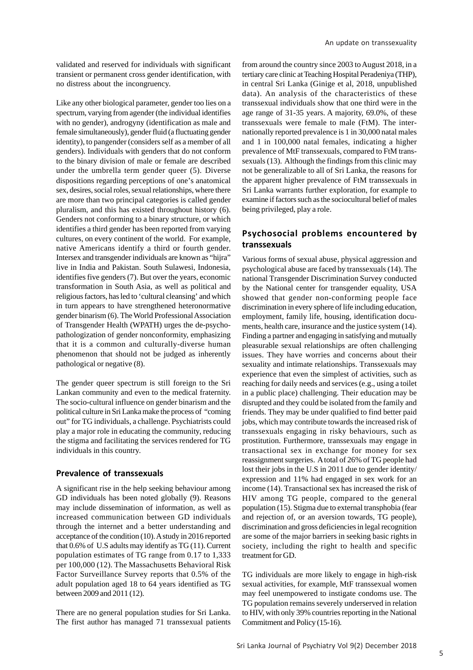validated and reserved for individuals with significant transient or permanent cross gender identification, with no distress about the incongruency.

Like any other biological parameter, gender too lies on a spectrum, varying from agender (the individual identifies with no gender), androgyny (identification as male and female simultaneously), gender fluid (a fluctuating gender identity), to pangender (considers self as a member of all genders). Individuals with genders that do not conform to the binary division of male or female are described under the umbrella term gender queer (5). Diverse dispositions regarding perceptions of one's anatomical sex, desires, social roles, sexual relationships, where there are more than two principal categories is called gender pluralism, and this has existed throughout history (6). Genders not conforming to a binary structure, or which identifies a third gender has been reported from varying cultures, on every continent of the world. For example, native Americans identify a third or fourth gender. Intersex and transgender individuals are known as "hijra" live in India and Pakistan. South Sulawesi, Indonesia, identifies five genders (7). But over the years, economic transformation in South Asia, as well as political and religious factors, has led to 'cultural cleansing' and which in turn appears to have strengthened heteronormative gender binarism (6). The World Professional Association of Transgender Health (WPATH) urges the de-psychopathologization of gender nonconformity, emphasizing that it is a common and culturally-diverse human phenomenon that should not be judged as inherently pathological or negative (8).

The gender queer spectrum is still foreign to the Sri Lankan community and even to the medical fraternity. The socio-cultural influence on gender binarism and the political culture in Sri Lanka make the process of "coming out" for TG individuals, a challenge. Psychiatrists could play a major role in educating the community, reducing the stigma and facilitating the services rendered for TG individuals in this country.

#### **Prevalence of transsexuals**

A significant rise in the help seeking behaviour among GD individuals has been noted globally (9). Reasons may include dissemination of information, as well as increased communication between GD individuals through the internet and a better understanding and acceptance of the condition (10). A study in 2016 reported that 0.6% of U.S adults may identify as TG (11). Current population estimates of TG range from 0.17 to 1,333 per 100,000 (12). The Massachusetts Behavioral Risk Factor Surveillance Survey reports that 0.5% of the adult population aged 18 to 64 years identified as TG between 2009 and 2011 (12).

There are no general population studies for Sri Lanka. The first author has managed 71 transsexual patients from around the country since 2003 to August 2018, in a tertiary care clinic at Teaching Hospital Peradeniya (THP), in central Sri Lanka (Ginige et al, 2018, unpublished data). An analysis of the characteristics of these transsexual individuals show that one third were in the age range of 31-35 years. A majority, 69.0%, of these transsexuals were female to male (FtM). The internationally reported prevalence is 1 in 30,000 natal males and 1 in 100,000 natal females, indicating a higher prevalence of MtF transsexuals, compared to FtM transsexuals (13). Although the findings from this clinic may not be generalizable to all of Sri Lanka, the reasons for the apparent higher prevalence of FtM transsexuals in Sri Lanka warrants further exploration, for example to examine if factors such as the sociocultural belief of males being privileged, play a role.

#### **Psychosocial problems encountered by transsexuals**

Various forms of sexual abuse, physical aggression and psychological abuse are faced by transsexuals (14). The national Transgender Discrimination Survey conducted by the National center for transgender equality, USA showed that gender non-conforming people face discrimination in every sphere of life including education, employment, family life, housing, identification documents, health care, insurance and the justice system (14). Finding a partner and engaging in satisfying and mutually pleasurable sexual relationships are often challenging issues. They have worries and concerns about their sexuality and intimate relationships. Transsexuals may experience that even the simplest of activities, such as reaching for daily needs and services (e.g., using a toilet in a public place) challenging. Their education may be disrupted and they could be isolated from the family and friends. They may be under qualified to find better paid jobs, which may contribute towards the increased risk of transsexuals engaging in risky behaviours, such as prostitution. Furthermore, transsexuals may engage in transactional sex in exchange for money for sex reassignment surgeries. A total of 26% of TG people had lost their jobs in the U.S in 2011 due to gender identity/ expression and 11% had engaged in sex work for an income (14). Transactional sex has increased the risk of HIV among TG people, compared to the general population (15). Stigma due to external transphobia (fear and rejection of, or an aversion towards, TG people), discrimination and gross deficiencies in legal recognition are some of the major barriers in seeking basic rights in society, including the right to health and specific treatment for GD.

TG individuals are more likely to engage in high-risk sexual activities, for example, MtF transsexual women may feel unempowered to instigate condoms use. The TG population remains severely underserved in relation to HIV, with only 39% countries reporting in the National Commitment and Policy (15-16).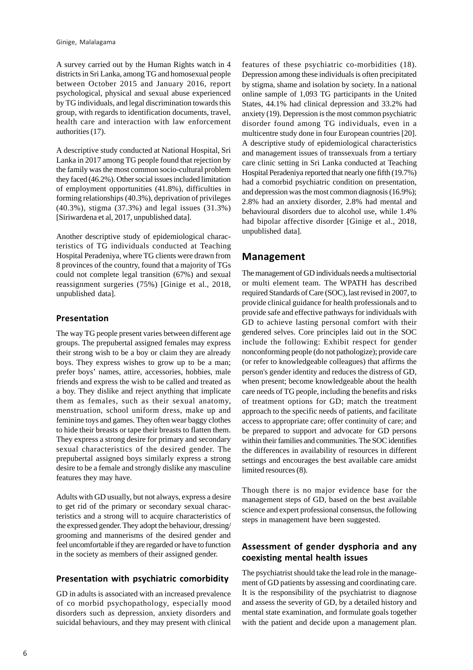A survey carried out by the Human Rights watch in 4 districts in Sri Lanka, among TG and homosexual people between October 2015 and January 2016, report psychological, physical and sexual abuse experienced by TG individuals, and legal discrimination towards this group, with regards to identification documents, travel, health care and interaction with law enforcement authorities (17).

A descriptive study conducted at National Hospital, Sri Lanka in 2017 among TG people found that rejection by the family was the most common socio-cultural problem they faced (46.2%). Other social issues included limitation of employment opportunities (41.8%), difficulties in forming relationships (40.3%), deprivation of privileges (40.3%), stigma (37.3%) and legal issues (31.3%) [Siriwardena et al, 2017, unpublished data].

Another descriptive study of epidemiological characteristics of TG individuals conducted at Teaching Hospital Peradeniya, where TG clients were drawn from 8 provinces of the country, found that a majority of TGs could not complete legal transition (67%) and sexual reassignment surgeries (75%) [Ginige et al., 2018, unpublished data].

#### **Presentation**

The way TG people present varies between different age groups. The prepubertal assigned females may express their strong wish to be a boy or claim they are already boys. They express wishes to grow up to be a man; prefer boys' names, attire, accessories, hobbies, male friends and express the wish to be called and treated as a boy. They dislike and reject anything that implicate them as females, such as their sexual anatomy, menstruation, school uniform dress, make up and feminine toys and games. They often wear baggy clothes to hide their breasts or tape their breasts to flatten them. They express a strong desire for primary and secondary sexual characteristics of the desired gender. The prepubertal assigned boys similarly express a strong desire to be a female and strongly dislike any masculine features they may have.

Adults with GD usually, but not always, express a desire to get rid of the primary or secondary sexual characteristics and a strong will to acquire characteristics of the expressed gender. They adopt the behaviour, dressing/ grooming and mannerisms of the desired gender and feel uncomfortable if they are regarded or have to function in the society as members of their assigned gender.

#### **Presentation with psychiatric comorbidity**

GD in adults is associated with an increased prevalence of co morbid psychopathology, especially mood disorders such as depression, anxiety disorders and suicidal behaviours, and they may present with clinical

features of these psychiatric co-morbidities (18). Depression among these individuals is often precipitated by stigma, shame and isolation by society. In a national online sample of 1,093 TG participants in the United States, 44.1% had clinical depression and 33.2% had anxiety (19). Depression is the most common psychiatric disorder found among TG individuals, even in a multicentre study done in four European countries [20]. A descriptive study of epidemiological characteristics and management issues of transsexuals from a tertiary care clinic setting in Sri Lanka conducted at Teaching Hospital Peradeniya reported that nearly one fifth (19.7%) had a comorbid psychiatric condition on presentation, and depression was the most common diagnosis (16.9%); 2.8% had an anxiety disorder, 2.8% had mental and behavioural disorders due to alcohol use, while 1.4% had bipolar affective disorder [Ginige et al., 2018, unpublished data].

#### **Management**

The management of GD individuals needs a multisectorial or multi element team. The WPATH has described required Standards of Care (SOC), last revised in 2007, to provide clinical guidance for health professionals and to provide safe and effective pathways for individuals with GD to achieve lasting personal comfort with their gendered selves. Core principles laid out in the SOC include the following: Exhibit respect for gender nonconforming people (do not pathologize); provide care (or refer to knowledgeable colleagues) that affirms the person's gender identity and reduces the distress of GD, when present; become knowledgeable about the health care needs of TG people, including the benefits and risks of treatment options for GD; match the treatment approach to the specific needs of patients, and facilitate access to appropriate care; offer continuity of care; and be prepared to support and advocate for GD persons within their families and communities. The SOC identifies the differences in availability of resources in different settings and encourages the best available care amidst limited resources (8).

Though there is no major evidence base for the management steps of GD, based on the best available science and expert professional consensus, the following steps in management have been suggested.

#### **Assessment of gender dysphoria and any coexisting mental health issues**

The psychiatrist should take the lead role in the management of GD patients by assessing and coordinating care. It is the responsibility of the psychiatrist to diagnose and assess the severity of GD, by a detailed history and mental state examination, and formulate goals together with the patient and decide upon a management plan.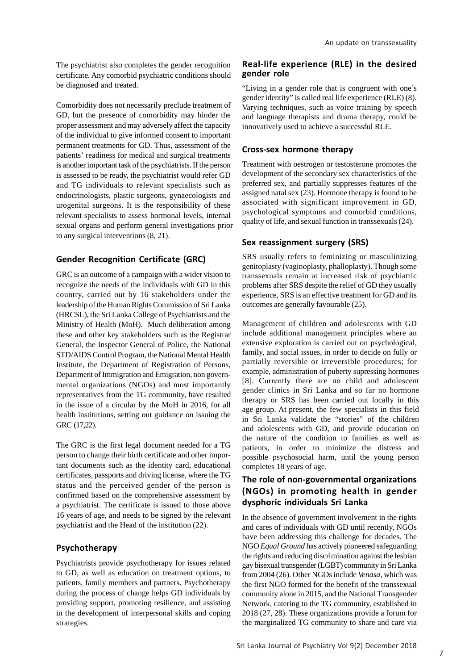Comorbidity does not necessarily preclude treatment of GD, but the presence of comorbidity may hinder the proper assessment and may adversely affect the capacity of the individual to give informed consent to important permanent treatments for GD. Thus, assessment of the patients' readiness for medical and surgical treatments is another important task of the psychiatrists. If the person is assessed to be ready, the psychiatrist would refer GD and TG individuals to relevant specialists such as endocrinologists, plastic surgeons, gynaecologists and urogenital surgeons. It is the responsibility of these relevant specialists to assess hormonal levels, internal sexual organs and perform general investigations prior to any surgical interventions (8, 21).

### **Gender Recognition Certificate (GRC)**

GRC is an outcome of a campaign with a wider vision to recognize the needs of the individuals with GD in this country, carried out by 16 stakeholders under the leadership of the Human Rights Commission of Sri Lanka (HRCSL), the Sri Lanka College of Psychiatrists and the Ministry of Health (MoH). Much deliberation among these and other key stakeholders such as the Registrar General, the Inspector General of Police, the National STD/AIDS Control Program, the National Mental Health Institute, the Department of Registration of Persons, Department of Immigration and Emigration, non governmental organizations (NGOs) and most importantly representatives from the TG community, have resulted in the issue of a circular by the MoH in 2016, for all health institutions, setting out guidance on issuing the GRC (17,22).

The GRC is the first legal document needed for a TG person to change their birth certificate and other important documents such as the identity card, educational certificates, passports and driving license, where the TG status and the perceived gender of the person is confirmed based on the comprehensive assessment by a psychiatrist. The certificate is issued to those above 16 years of age, and needs to be signed by the relevant psychiatrist and the Head of the institution (22).

#### **Psychotherapy**

Psychiatrists provide psychotherapy for issues related to GD, as well as education on treatment options, to patients, family members and partners. Psychotherapy during the process of change helps GD individuals by providing support, promoting resilience, and assisting in the development of interpersonal skills and coping strategies.

#### **Real-life experience (RLE) in the desired gender role**

"Living in a gender role that is congruent with one's gender identity" is called real life experience (RLE) (8). Varying techniques, such as voice training by speech and language therapists and drama therapy, could be innovatively used to achieve a successful RLE.

## **Cross-sex hormone therapy**

Treatment with oestrogen or testosterone promotes the development of the secondary sex characteristics of the preferred sex, and partially suppresses features of the assigned natal sex (23). Hormone therapy is found to be associated with significant improvement in GD, psychological symptoms and comorbid conditions, quality of life, and sexual function in transsexuals (24).

## **Sex reassignment surgery (SRS)**

SRS usually refers to feminizing or masculinizing genitoplasty (vaginoplasty, phalloplasty). Though some transsexuals remain at increased risk of psychiatric problems after SRS despite the relief of GD they usually experience, SRS is an effective treatment for GD and its outcomes are generally favourable (25).

Management of children and adolescents with GD include additional management principles where an extensive exploration is carried out on psychological, family, and social issues, in order to decide on fully or partially reversible or irreversible procedures; for example, administration of puberty supressing hormones [8]. Currently there are no child and adolescent gender clinics in Sri Lanka and so far no hormone therapy or SRS has been carried out locally in this age group. At present, the few specialists in this field in Sri Lanka validate the "stories" of the children and adolescents with GD, and provide education on the nature of the condition to families as well as patients, in order to minimize the distress and possible psychosocial harm, until the young person completes 18 years of age.

## **The role of non-governmental organizations (NGOs) in promoting health in gender dysphoric individuals Sri Lanka**

In the absence of government involvement in the rights and cares of individuals with GD until recently, NGOs have been addressing this challenge for decades. The NGO *Equal Ground* has actively pioneered safeguarding the rights and reducing discrimination against the lesbian gay bisexual transgender (LGBT) community in Sri Lanka from 2004 (26). Other NGOs include *Venasa*, which was the first NGO formed for the benefit of the transsexual community alone in 2015, and the National Transgender Network, catering to the TG community, established in 2018 (27, 28). These organizations provide a forum for the marginalized TG community to share and care via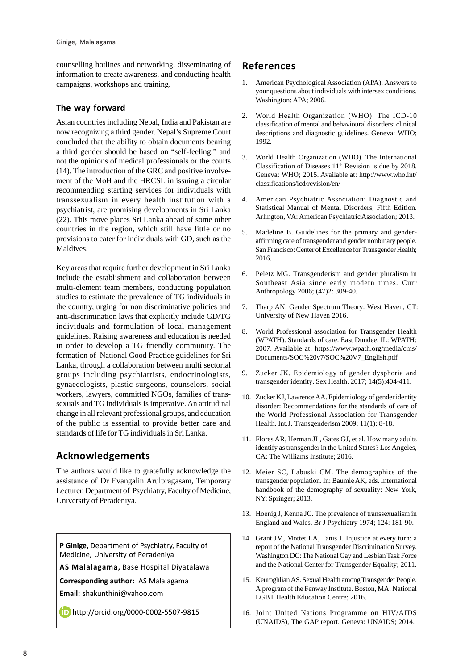counselling hotlines and networking, disseminating of information to create awareness, and conducting health campaigns, workshops and training.

#### **The way forward**

Asian countries including Nepal, India and Pakistan are now recognizing a third gender. Nepal's Supreme Court concluded that the ability to obtain documents bearing a third gender should be based on "self-feeling," and not the opinions of medical professionals or the courts (14). The introduction of the GRC and positive involvement of the MoH and the HRCSL in issuing a circular recommending starting services for individuals with transsexualism in every health institution with a psychiatrist, are promising developments in Sri Lanka (22). This move places Sri Lanka ahead of some other countries in the region, which still have little or no provisions to cater for individuals with GD, such as the Maldives.

Key areas that require further development in Sri Lanka include the establishment and collaboration between multi-element team members, conducting population studies to estimate the prevalence of TG individuals in the country, urging for non discriminative policies and anti-discrimination laws that explicitly include GD/TG individuals and formulation of local management guidelines. Raising awareness and education is needed in order to develop a TG friendly community. The formation of National Good Practice guidelines for Sri Lanka, through a collaboration between multi sectorial groups including psychiatrists, endocrinologists, gynaecologists, plastic surgeons, counselors, social workers, lawyers, committed NGOs, families of transsexuals and TG individuals is imperative. An attitudinal change in all relevant professional groups, and education of the public is essential to provide better care and standards of life for TG individuals in Sri Lanka.

# **Acknowledgements**

The authors would like to gratefully acknowledge the assistance of Dr Evangalin Arulpragasam, Temporary Lecturer, Department of Psychiatry, Faculty of Medicine, University of Peradeniya.

**P Ginige,** Department of Psychiatry, Faculty of Medicine, University of Peradeniya

**AS Malalagama,** Base Hospital Diyatalawa

**Corresponding author:** AS Malalagama

**Email:** shakunthini@yahoo.com

http://orcid.org/0000-0002-5507-9815

## **References**

- 1. American Psychological Association (APA). Answers to your questions about individuals with intersex conditions. Washington: APA; 2006.
- 2. World Health Organization (WHO). The ICD-10 classification of mental and behavioural disorders: clinical descriptions and diagnostic guidelines. Geneva: WHO; 1992.
- 3. World Health Organization (WHO). The International Classification of Diseases 11th Revision is due by 2018. Geneva: WHO; 2015. Available at: http://www.who.int/ classifications/icd/revision/en/
- 4. American Psychiatric Association: Diagnostic and Statistical Manual of Mental Disorders, Fifth Edition. Arlington, VA: American Psychiatric Association; 2013.
- 5. Madeline B. Guidelines for the primary and genderaffirming care of transgender and gender nonbinary people. San Francisco: Center of Excellence for Transgender Health; 2016.
- 6. Peletz MG. Transgenderism and gender pluralism in Southeast Asia since early modern times. Curr Anthropology 2006; (47)2: 309-40.
- 7. Tharp AN. Gender Spectrum Theory. West Haven, CT: University of New Haven 2016.
- 8. World Professional association for Transgender Health (WPATH). Standards of care. East Dundee, IL: WPATH: 2007. Available at: https://www.wpath.org/media/cms/ Documents/SOC%20v7/SOC%20V7\_English.pdf
- 9. Zucker JK. Epidemiology of gender dysphoria and transgender identity. Sex Health. 2017; 14(5):404-411.
- 10. Zucker KJ, Lawrence AA. Epidemiology of gender identity disorder: Recommendations for the standards of care of the World Professional Association for Transgender Health. Int.J. Transgenderism 2009; 11(1): 8-18.
- 11. Flores AR, Herman JL, Gates GJ, et al. How many adults identify as transgender in the United States? Los Angeles, CA: The Williams Institute; 2016.
- 12. Meier SC, Labuski CM. The demographics of the transgender population. In: Baumle AK, eds. International handbook of the demography of sexuality: New York, NY: Springer; 2013.
- 13. Hoenig J, Kenna JC. The prevalence of transsexualism in England and Wales. Br J Psychiatry 1974; 124: 181-90.
- 14. Grant JM, Mottet LA, Tanis J. Injustice at every turn: a report of the National Transgender Discrimination Survey. Washington DC: The National Gay and Lesbian Task Force and the National Center for Transgender Equality; 2011.
- 15. Keuroghlian AS. Sexual Health among Transgender People. A program of the Fenway Institute. Boston, MA: National LGBT Health Education Centre; 2016.
- 16. Joint United Nations Programme on HIV/AIDS (UNAIDS), The GAP report. Geneva: UNAIDS; 2014.